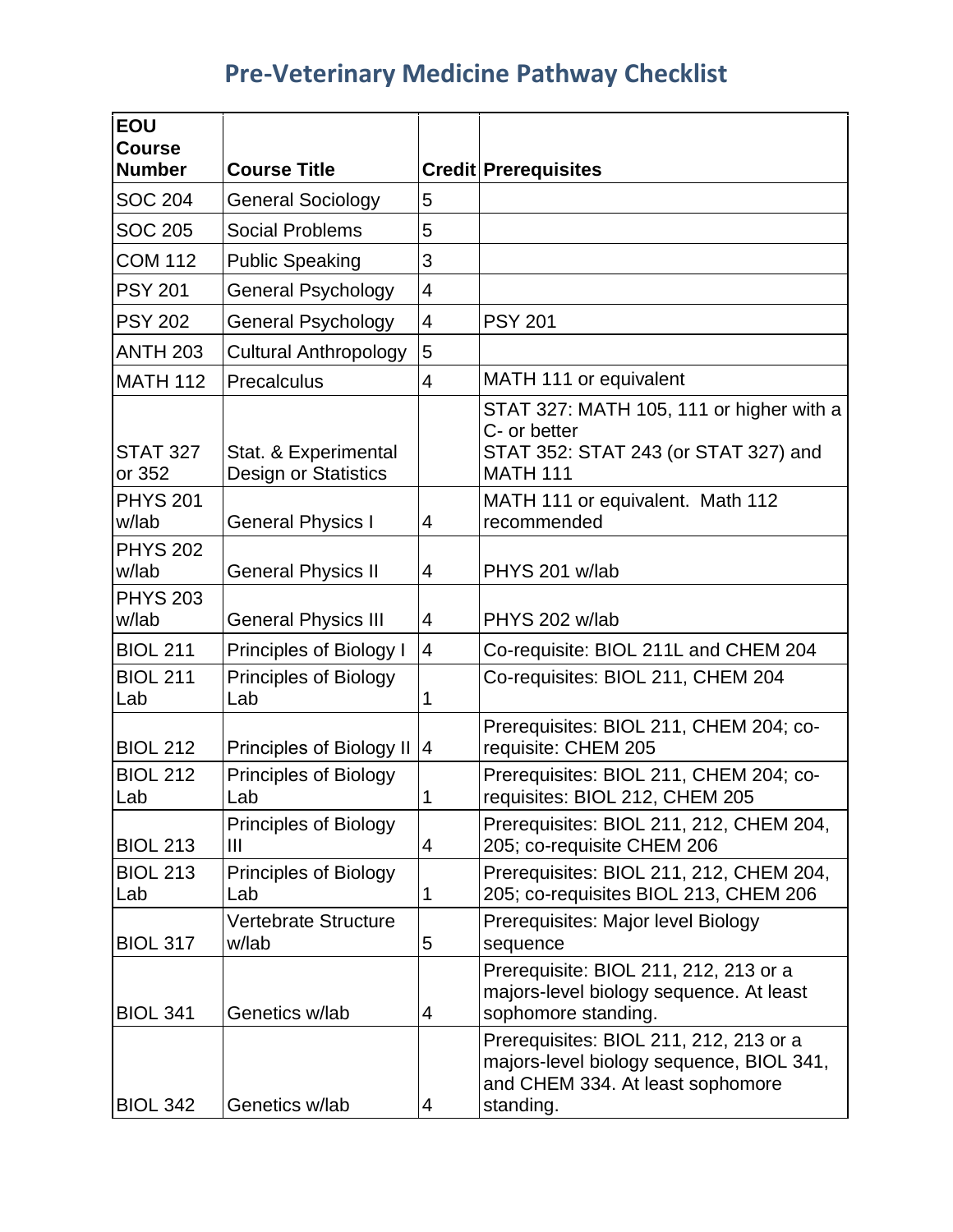## **Pre-Veterinary Medicine Pathway Checklist**

| <b>EOU</b><br><b>Course</b> |                                                |                          |                                                                                                                                     |
|-----------------------------|------------------------------------------------|--------------------------|-------------------------------------------------------------------------------------------------------------------------------------|
| <b>Number</b>               | <b>Course Title</b>                            |                          | <b>Credit Prerequisites</b>                                                                                                         |
| <b>SOC 204</b>              | <b>General Sociology</b>                       | 5                        |                                                                                                                                     |
| <b>SOC 205</b>              | <b>Social Problems</b>                         | 5                        |                                                                                                                                     |
| <b>COM 112</b>              | <b>Public Speaking</b>                         | 3                        |                                                                                                                                     |
| <b>PSY 201</b>              | <b>General Psychology</b>                      | 4                        |                                                                                                                                     |
| <b>PSY 202</b>              | <b>General Psychology</b>                      | $\overline{\mathcal{A}}$ | <b>PSY 201</b>                                                                                                                      |
| <b>ANTH 203</b>             | <b>Cultural Anthropology</b>                   | 5                        |                                                                                                                                     |
| <b>MATH 112</b>             | Precalculus                                    | $\overline{4}$           | MATH 111 or equivalent                                                                                                              |
| <b>STAT 327</b><br>or 352   | Stat. & Experimental<br>Design or Statistics   |                          | STAT 327: MATH 105, 111 or higher with a<br>C- or better<br>STAT 352: STAT 243 (or STAT 327) and<br><b>MATH 111</b>                 |
| <b>PHYS 201</b><br>w/lab    | <b>General Physics I</b>                       | 4                        | MATH 111 or equivalent. Math 112<br>recommended                                                                                     |
| <b>PHYS 202</b><br>w/lab    | <b>General Physics II</b>                      | 4                        | PHYS 201 w/lab                                                                                                                      |
| <b>PHYS 203</b><br>w/lab    | <b>General Physics III</b>                     | 4                        | PHYS 202 w/lab                                                                                                                      |
| <b>BIOL 211</b>             | Principles of Biology I                        | $\overline{4}$           | Co-requisite: BIOL 211L and CHEM 204                                                                                                |
| <b>BIOL 211</b><br>Lab      | <b>Principles of Biology</b><br>Lab            | 1                        | Co-requisites: BIOL 211, CHEM 204                                                                                                   |
| <b>BIOL 212</b>             | Principles of Biology II                       | 4                        | Prerequisites: BIOL 211, CHEM 204; co-<br>requisite: CHEM 205                                                                       |
| <b>BIOL 212</b><br>Lab      | <b>Principles of Biology</b><br>Lab            | 1                        | Prerequisites: BIOL 211, CHEM 204; co-<br>requisites: BIOL 212, CHEM 205                                                            |
| <b>BIOL 213</b>             | <b>Principles of Biology</b><br>$\mathbf{III}$ | $\overline{4}$           | Prerequisites: BIOL 211, 212, CHEM 204,<br>205; co-requisite CHEM 206                                                               |
| <b>BIOL 213</b><br>Lab      | <b>Principles of Biology</b><br>Lab            | $\mathbf 1$              | Prerequisites: BIOL 211, 212, CHEM 204,<br>205; co-requisites BIOL 213, CHEM 206                                                    |
| <b>BIOL 317</b>             | <b>Vertebrate Structure</b><br>w/lab           | 5                        | Prerequisites: Major level Biology<br>sequence                                                                                      |
| <b>BIOL 341</b>             | Genetics w/lab                                 | 4                        | Prerequisite: BIOL 211, 212, 213 or a<br>majors-level biology sequence. At least<br>sophomore standing.                             |
| <b>BIOL 342</b>             | Genetics w/lab                                 | 4                        | Prerequisites: BIOL 211, 212, 213 or a<br>majors-level biology sequence, BIOL 341,<br>and CHEM 334. At least sophomore<br>standing. |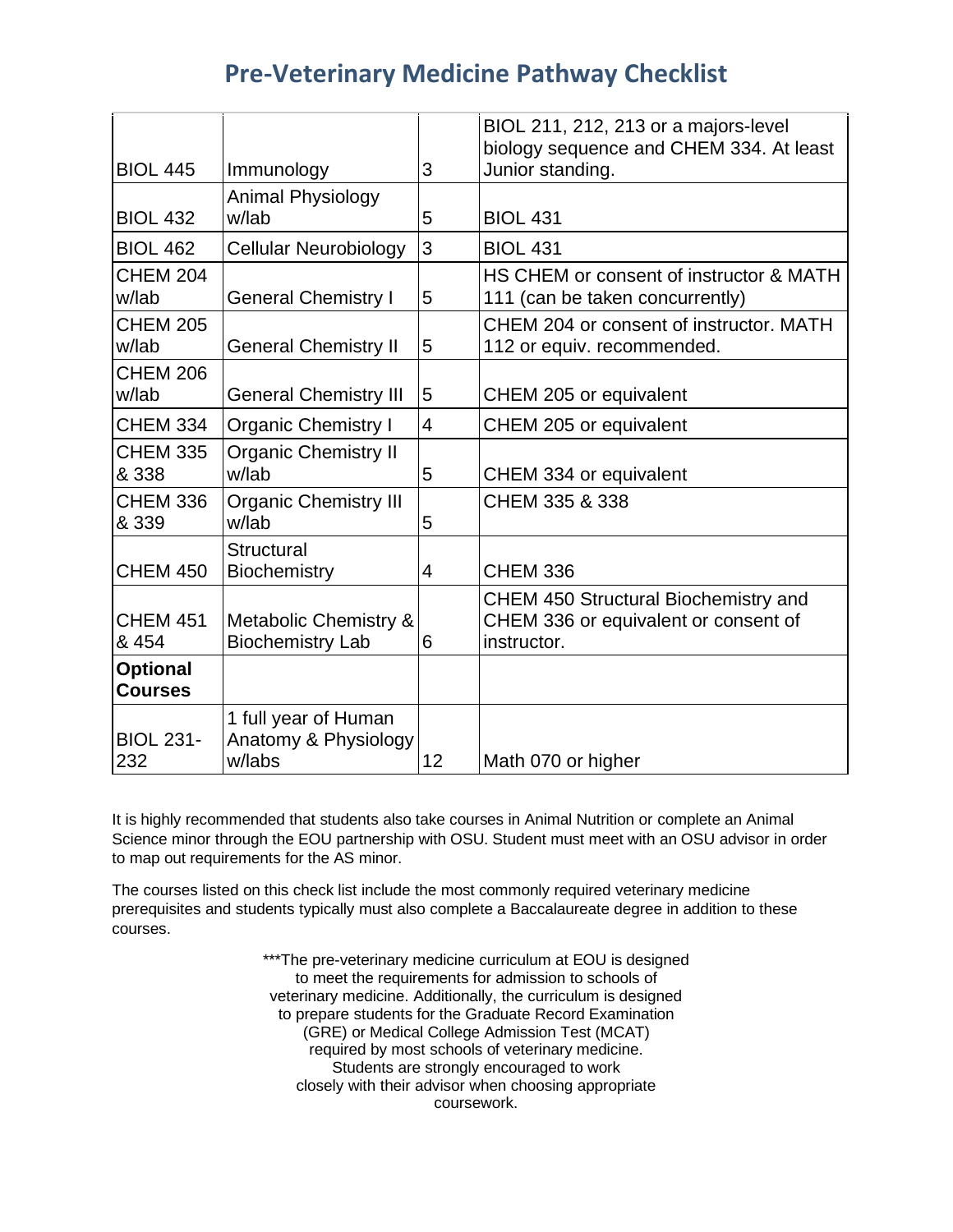## **Pre-Veterinary Medicine Pathway Checklist**

| <b>BIOL 445</b>                   | Immunology                                                  | 3              | BIOL 211, 212, 213 or a majors-level<br>biology sequence and CHEM 334. At least<br>Junior standing. |
|-----------------------------------|-------------------------------------------------------------|----------------|-----------------------------------------------------------------------------------------------------|
| <b>BIOL 432</b>                   | <b>Animal Physiology</b><br>w/lab                           | 5              | <b>BIOL 431</b>                                                                                     |
| <b>BIOL 462</b>                   | <b>Cellular Neurobiology</b>                                | 3              | <b>BIOL 431</b>                                                                                     |
| <b>CHEM 204</b><br>w/lab          | <b>General Chemistry I</b>                                  | 5              | HS CHEM or consent of instructor & MATH<br>111 (can be taken concurrently)                          |
| <b>CHEM 205</b><br>w/lab          | <b>General Chemistry II</b>                                 | 5              | CHEM 204 or consent of instructor, MATH<br>112 or equiv. recommended.                               |
| <b>CHEM 206</b><br>w/lab          | <b>General Chemistry III</b>                                | 5              | CHEM 205 or equivalent                                                                              |
| <b>CHEM 334</b>                   | <b>Organic Chemistry I</b>                                  | $\overline{4}$ | CHEM 205 or equivalent                                                                              |
| <b>CHEM 335</b><br>& 338          | <b>Organic Chemistry II</b><br>w/lab                        | 5              | CHEM 334 or equivalent                                                                              |
| <b>CHEM 336</b><br>& 339          | <b>Organic Chemistry III</b><br>w/lab                       | 5              | CHEM 335 & 338                                                                                      |
| <b>CHEM 450</b>                   | <b>Structural</b><br>Biochemistry                           | $\overline{4}$ | <b>CHEM 336</b>                                                                                     |
| <b>CHEM 451</b><br>& 454          | <b>Metabolic Chemistry &amp;</b><br><b>Biochemistry Lab</b> | 6              | <b>CHEM 450 Structural Biochemistry and</b><br>CHEM 336 or equivalent or consent of<br>instructor.  |
| <b>Optional</b><br><b>Courses</b> |                                                             |                |                                                                                                     |
| <b>BIOL 231-</b><br>232           | 1 full year of Human<br>Anatomy & Physiology<br>w/labs      | 12             | Math 070 or higher                                                                                  |

It is highly recommended that students also take courses in Animal Nutrition or complete an Animal Science minor through the EOU partnership with OSU. Student must meet with an OSU advisor in order to map out requirements for the AS minor.

The courses listed on this check list include the most commonly required veterinary medicine prerequisites and students typically must also complete a Baccalaureate degree in addition to these courses.

> \*\*\*The pre-veterinary medicine curriculum at EOU is designed to meet the requirements for admission to schools of veterinary medicine. Additionally, the curriculum is designed to prepare students for the Graduate Record Examination (GRE) or Medical College Admission Test (MCAT) required by most schools of veterinary medicine. Students are strongly encouraged to work closely with their advisor when choosing appropriate coursework.